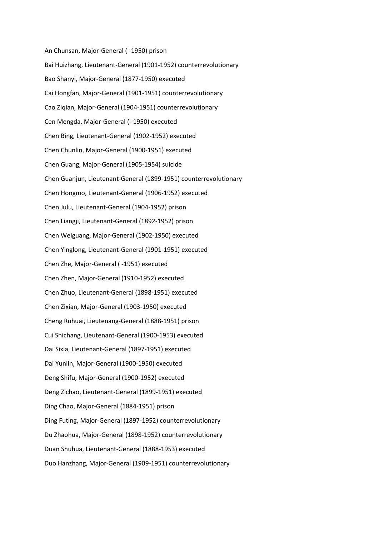An Chunsan, Major-General ( -1950) prison Bai Huizhang, Lieutenant-General (1901-1952) counterrevolutionary Bao Shanyi, Major-General (1877-1950) executed Cai Hongfan, Major-General (1901-1951) counterrevolutionary Cao Ziqian, Major-General (1904-1951) counterrevolutionary Cen Mengda, Major-General ( -1950) executed Chen Bing, Lieutenant-General (1902-1952) executed Chen Chunlin, Major-General (1900-1951) executed Chen Guang, Major-General (1905-1954) suicide Chen Guanjun, Lieutenant-General (1899-1951) counterrevolutionary Chen Hongmo, Lieutenant-General (1906-1952) executed Chen Julu, Lieutenant-General (1904-1952) prison Chen Liangji, Lieutenant-General (1892-1952) prison Chen Weiguang, Major-General (1902-1950) executed Chen Yinglong, Lieutenant-General (1901-1951) executed Chen Zhe, Major-General ( -1951) executed Chen Zhen, Major-General (1910-1952) executed Chen Zhuo, Lieutenant-General (1898-1951) executed Chen Zixian, Major-General (1903-1950) executed Cheng Ruhuai, Lieutenang-General (1888-1951) prison Cui Shichang, Lieutenant-General (1900-1953) executed Dai Sixia, Lieutenant-General (1897-1951) executed Dai Yunlin, Major-General (1900-1950) executed Deng Shifu, Major-General (1900-1952) executed Deng Zichao, Lieutenant-General (1899-1951) executed Ding Chao, Major-General (1884-1951) prison Ding Futing, Major-General (1897-1952) counterrevolutionary Du Zhaohua, Major-General (1898-1952) counterrevolutionary Duan Shuhua, Lieutenant-General (1888-1953) executed Duo Hanzhang, Major-General (1909-1951) counterrevolutionary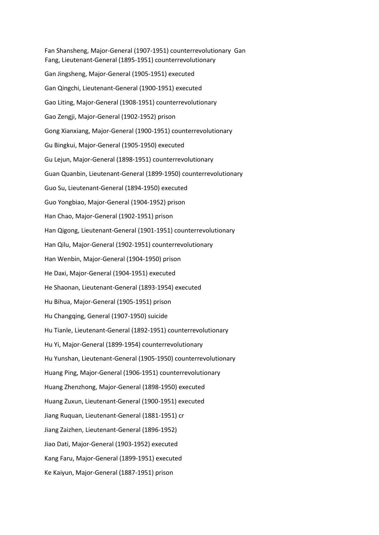Fan Shansheng, Major-General (1907-1951) counterrevolutionary Gan Fang, Lieutenant-General (1895-1951) counterrevolutionary Gan Jingsheng, Major-General (1905-1951) executed Gan Qingchi, Lieutenant-General (1900-1951) executed Gao Liting, Major-General (1908-1951) counterrevolutionary Gao Zengji, Major-General (1902-1952) prison Gong Xianxiang, Major-General (1900-1951) counterrevolutionary Gu Bingkui, Major-General (1905-1950) executed Gu Lejun, Major-General (1898-1951) counterrevolutionary Guan Quanbin, Lieutenant-General (1899-1950) counterrevolutionary Guo Su, Lieutenant-General (1894-1950) executed Guo Yongbiao, Major-General (1904-1952) prison Han Chao, Major-General (1902-1951) prison Han Qigong, Lieutenant-General (1901-1951) counterrevolutionary Han Qilu, Major-General (1902-1951) counterrevolutionary Han Wenbin, Major-General (1904-1950) prison He Daxi, Major-General (1904-1951) executed He Shaonan, Lieutenant-General (1893-1954) executed Hu Bihua, Major-General (1905-1951) prison Hu Changqing, General (1907-1950) suicide Hu Tianle, Lieutenant-General (1892-1951) counterrevolutionary Hu Yi, Major-General (1899-1954) counterrevolutionary Hu Yunshan, Lieutenant-General (1905-1950) counterrevolutionary Huang Ping, Major-General (1906-1951) counterrevolutionary Huang Zhenzhong, Major-General (1898-1950) executed Huang Zuxun, Lieutenant-General (1900-1951) executed Jiang Ruquan, Lieutenant-General (1881-1951) cr Jiang Zaizhen, Lieutenant-General (1896-1952) Jiao Dati, Major-General (1903-1952) executed Kang Faru, Major-General (1899-1951) executed Ke Kaiyun, Major-General (1887-1951) prison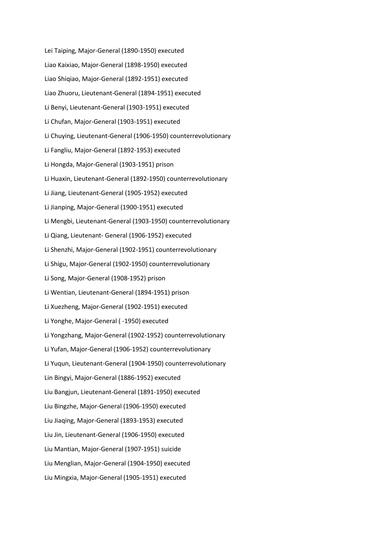Lei Taiping, Major-General (1890-1950) executed Liao Kaixiao, Major-General (1898-1950) executed Liao Shiqiao, Major-General (1892-1951) executed Liao Zhuoru, Lieutenant-General (1894-1951) executed Li Benyi, Lieutenant-General (1903-1951) executed Li Chufan, Major-General (1903-1951) executed Li Chuying, Lieutenant-General (1906-1950) counterrevolutionary Li Fangliu, Major-General (1892-1953) executed Li Hongda, Major-General (1903-1951) prison Li Huaxin, Lieutenant-General (1892-1950) counterrevolutionary Li Jiang, Lieutenant-General (1905-1952) executed Li Jianping, Major-General (1900-1951) executed Li Mengbi, Lieutenant-General (1903-1950) counterrevolutionary Li Qiang, Lieutenant- General (1906-1952) executed Li Shenzhi, Major-General (1902-1951) counterrevolutionary Li Shigu, Major-General (1902-1950) counterrevolutionary Li Song, Major-General (1908-1952) prison Li Wentian, Lieutenant-General (1894-1951) prison Li Xuezheng, Major-General (1902-1951) executed Li Yonghe, Major-General ( -1950) executed Li Yongzhang, Major-General (1902-1952) counterrevolutionary Li Yufan, Major-General (1906-1952) counterrevolutionary Li Yuqun, Lieutenant-General (1904-1950) counterrevolutionary Lin Bingyi, Major-General (1886-1952) executed Liu Bangjun, Lieutenant-General (1891-1950) executed Liu Bingzhe, Major-General (1906-1950) executed Liu Jiaqing, Major-General (1893-1953) executed Liu Jin, Lieutenant-General (1906-1950) executed Liu Mantian, Major-General (1907-1951) suicide Liu Menglian, Major-General (1904-1950) executed Liu Mingxia, Major-General (1905-1951) executed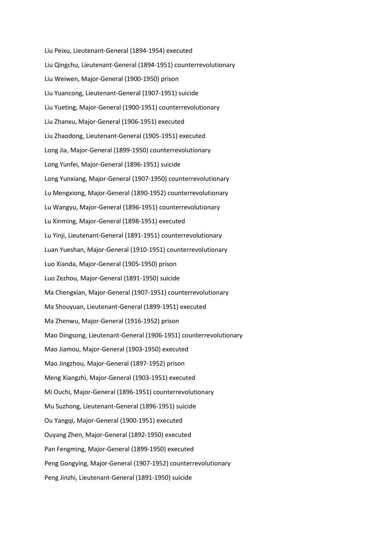Liu Peixu, Lieutenant-General (1894-1954) executed Liu Qingchu, Lieutenant-General (1894-1951) counterrevolutionary Liu Weiwen, Major-General (1900-1950) prison Liu Yuancong, Lieutenant-General (1907-1951) suicide Liu Yueting, Major-General (1900-1951) counterrevolutionary Liu Zhanxu, Major-General (1906-1951) executed Liu Zhaodong, Lieutenant-General (1905-1951) executed Long Jia, Major-General (1899-1950) counterrevolutionary Long Yunfei, Major-General (1896-1951) suicide Long Yunxiang, Major-General (1907-1950) counterrevolutionary Lu Mengxiong, Major-General (1890-1952) counterrevolutionary Lu Wangyu, Major-General (1896-1951) counterrevolutionary Lu Xinming, Major-General (1898-1951) executed Lu Yinji, Lieutenant-General (1891-1951) counterrevolutionary Luan Yueshan, Major-General (1910-1951) counterrevolutionary Luo Xianda, Major-General (1905-1950) prison Luo Zezhou, Major-General (1891-1950) suicide Ma Chengxian, Major-General (1907-1951) counterrevolutionary Ma Shouyuan, Lieutenant-General (1899-1951) executed Ma Zhenwu, Major-General (1916-1952) prison Mao Dingsong, Lieutenant-General (1906-1951) counterrevolutionary Mao Jiamou, Major-General (1903-1950) executed Mao Jingzhou, Major-General (1897-1952) prison Meng Xiangzhi, Major-General (1903-1951) executed Mi Ouchi, Major-General (1896-1951) counterrevolutionary Mu Suzhong, Lieutenant-General (1896-1951) suicide Ou Yangqi, Major-General (1900-1951) executed Ouyang Zhen, Major-General (1892-1950) executed Pan Fengming, Major-General (1899-1950) executed Peng Gongying, Major-General (1907-1952) counterrevolutionary Peng Jinzhi, Lieutenant-General (1891-1950) suicide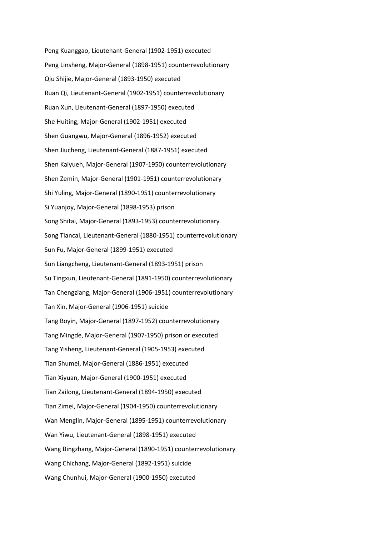Peng Kuanggao, Lieutenant-General (1902-1951) executed Peng Linsheng, Major-General (1898-1951) counterrevolutionary Qiu Shijie, Major-General (1893-1950) executed Ruan Qi, Lieutenant-General (1902-1951) counterrevolutionary Ruan Xun, Lieutenant-General (1897-1950) executed She Huiting, Major-General (1902-1951) executed Shen Guangwu, Major-General (1896-1952) executed Shen Jiucheng, Lieutenant-General (1887-1951) executed Shen Kaiyueh, Major-General (1907-1950) counterrevolutionary Shen Zemin, Major-General (1901-1951) counterrevolutionary Shi Yuling, Major-General (1890-1951) counterrevolutionary Si Yuanjoy, Major-General (1898-1953) prison Song Shitai, Major-General (1893-1953) counterrevolutionary Song Tiancai, Lieutenant-General (1880-1951) counterrevolutionary Sun Fu, Major-General (1899-1951) executed Sun Liangcheng, Lieutenant-General (1893-1951) prison Su Tingxun, Lieutenant-General (1891-1950) counterrevolutionary Tan Chengziang, Major-General (1906-1951) counterrevolutionary Tan Xin, Major-General (1906-1951) suicide Tang Boyin, Major-General (1897-1952) counterrevolutionary Tang Mingde, Major-General (1907-1950) prison or executed Tang Yisheng, Lieutenant-General (1905-1953) executed Tian Shumei, Major-General (1886-1951) executed Tian Xiyuan, Major-General (1900-1951) executed Tian Zailong, Lieutenant-General (1894-1950) executed Tian Zimei, Major-General (1904-1950) counterrevolutionary Wan Menglin, Major-General (1895-1951) counterrevolutionary Wan Yiwu, Lieutenant-General (1898-1951) executed Wang Bingzhang, Major-General (1890-1951) counterrevolutionary Wang Chichang, Major-General (1892-1951) suicide Wang Chunhui, Major-General (1900-1950) executed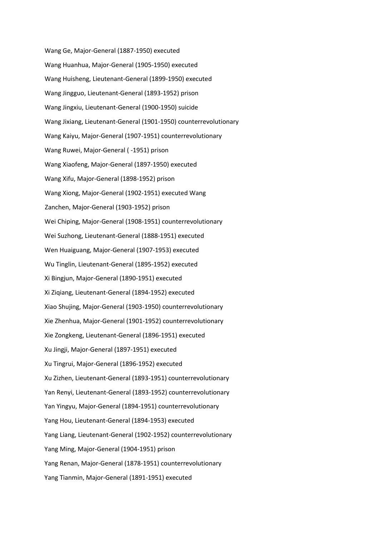Wang Ge, Major-General (1887-1950) executed Wang Huanhua, Major-General (1905-1950) executed Wang Huisheng, Lieutenant-General (1899-1950) executed Wang Jingguo, Lieutenant-General (1893-1952) prison Wang Jingxiu, Lieutenant-General (1900-1950) suicide Wang Jixiang, Lieutenant-General (1901-1950) counterrevolutionary Wang Kaiyu, Major-General (1907-1951) counterrevolutionary Wang Ruwei, Major-General ( -1951) prison Wang Xiaofeng, Major-General (1897-1950) executed Wang Xifu, Major-General (1898-1952) prison Wang Xiong, Major-General (1902-1951) executed Wang Zanchen, Major-General (1903-1952) prison Wei Chiping, Major-General (1908-1951) counterrevolutionary Wei Suzhong, Lieutenant-General (1888-1951) executed Wen Huaiguang, Major-General (1907-1953) executed Wu Tinglin, Lieutenant-General (1895-1952) executed Xi Bingjun, Major-General (1890-1951) executed Xi Ziqiang, Lieutenant-General (1894-1952) executed Xiao Shujing, Major-General (1903-1950) counterrevolutionary Xie Zhenhua, Major-General (1901-1952) counterrevolutionary Xie Zongkeng, Lieutenant-General (1896-1951) executed Xu Jingji, Major-General (1897-1951) executed Xu Tingrui, Major-General (1896-1952) executed Xu Zizhen, Lieutenant-General (1893-1951) counterrevolutionary Yan Renyi, Lieutenant-General (1893-1952) counterrevolutionary Yan Yingyu, Major-General (1894-1951) counterrevolutionary Yang Hou, Lieutenant-General (1894-1953) executed Yang Liang, Lieutenant-General (1902-1952) counterrevolutionary Yang Ming, Major-General (1904-1951) prison Yang Renan, Major-General (1878-1951) counterrevolutionary Yang Tianmin, Major-General (1891-1951) executed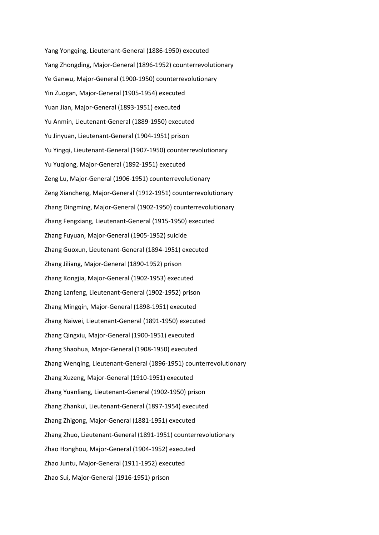Yang Yongqing, Lieutenant-General (1886-1950) executed Yang Zhongding, Major-General (1896-1952) counterrevolutionary Ye Ganwu, Major-General (1900-1950) counterrevolutionary Yin Zuogan, Major-General (1905-1954) executed Yuan Jian, Major-General (1893-1951) executed Yu Anmin, Lieutenant-General (1889-1950) executed Yu Jinyuan, Lieutenant-General (1904-1951) prison Yu Yingqi, Lieutenant-General (1907-1950) counterrevolutionary Yu Yuqiong, Major-General (1892-1951) executed Zeng Lu, Major-General (1906-1951) counterrevolutionary Zeng Xiancheng, Major-General (1912-1951) counterrevolutionary Zhang Dingming, Major-General (1902-1950) counterrevolutionary Zhang Fengxiang, Lieutenant-General (1915-1950) executed Zhang Fuyuan, Major-General (1905-1952) suicide Zhang Guoxun, Lieutenant-General (1894-1951) executed Zhang Jiliang, Major-General (1890-1952) prison Zhang Kongjia, Major-General (1902-1953) executed Zhang Lanfeng, Lieutenant-General (1902-1952) prison Zhang Mingqin, Major-General (1898-1951) executed Zhang Naiwei, Lieutenant-General (1891-1950) executed Zhang Qingxiu, Major-General (1900-1951) executed Zhang Shaohua, Major-General (1908-1950) executed Zhang Wenqing, Lieutenant-General (1896-1951) counterrevolutionary Zhang Xuzeng, Major-General (1910-1951) executed Zhang Yuanliang, Lieutenant-General (1902-1950) prison Zhang Zhankui, Lieutenant-General (1897-1954) executed Zhang Zhigong, Major-General (1881-1951) executed Zhang Zhuo, Lieutenant-General (1891-1951) counterrevolutionary Zhao Honghou, Major-General (1904-1952) executed Zhao Juntu, Major-General (1911-1952) executed Zhao Sui, Major-General (1916-1951) prison